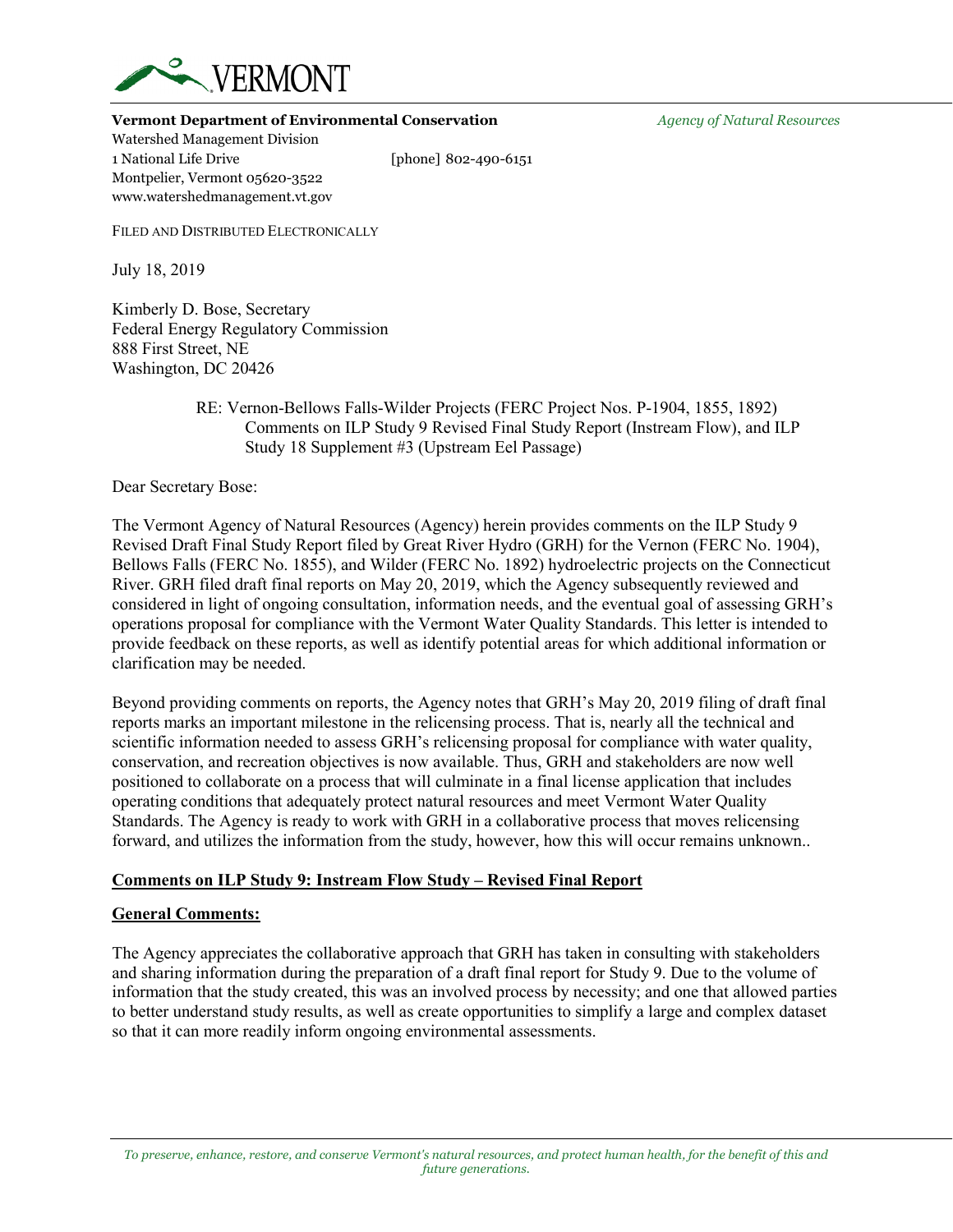

#### **Vermont Department of Environmental Conservation** *Agency of Natural Resources*

Watershed Management Division 1 National Life Drive [phone] 802-490-6151 Montpelier, Vermont 05620-3522 www.watershedmanagement.vt.gov

FILED AND DISTRIBUTED ELECTRONICALLY

July 18, 2019

Kimberly D. Bose, Secretary Federal Energy Regulatory Commission 888 First Street, NE Washington, DC 20426

> RE: Vernon-Bellows Falls-Wilder Projects (FERC Project Nos. P-1904, 1855, 1892) Comments on ILP Study 9 Revised Final Study Report (Instream Flow), and ILP Study 18 Supplement #3 (Upstream Eel Passage)

Dear Secretary Bose:

The Vermont Agency of Natural Resources (Agency) herein provides comments on the ILP Study 9 Revised Draft Final Study Report filed by Great River Hydro (GRH) for the Vernon (FERC No. 1904), Bellows Falls (FERC No. 1855), and Wilder (FERC No. 1892) hydroelectric projects on the Connecticut River. GRH filed draft final reports on May 20, 2019, which the Agency subsequently reviewed and considered in light of ongoing consultation, information needs, and the eventual goal of assessing GRH's operations proposal for compliance with the Vermont Water Quality Standards. This letter is intended to provide feedback on these reports, as well as identify potential areas for which additional information or clarification may be needed.

Beyond providing comments on reports, the Agency notes that GRH's May 20, 2019 filing of draft final reports marks an important milestone in the relicensing process. That is, nearly all the technical and scientific information needed to assess GRH's relicensing proposal for compliance with water quality, conservation, and recreation objectives is now available. Thus, GRH and stakeholders are now well positioned to collaborate on a process that will culminate in a final license application that includes operating conditions that adequately protect natural resources and meet Vermont Water Quality Standards. The Agency is ready to work with GRH in a collaborative process that moves relicensing forward, and utilizes the information from the study, however, how this will occur remains unknown..

# **Comments on ILP Study 9: Instream Flow Study – Revised Final Report**

# **General Comments:**

The Agency appreciates the collaborative approach that GRH has taken in consulting with stakeholders and sharing information during the preparation of a draft final report for Study 9. Due to the volume of information that the study created, this was an involved process by necessity; and one that allowed parties to better understand study results, as well as create opportunities to simplify a large and complex dataset so that it can more readily inform ongoing environmental assessments.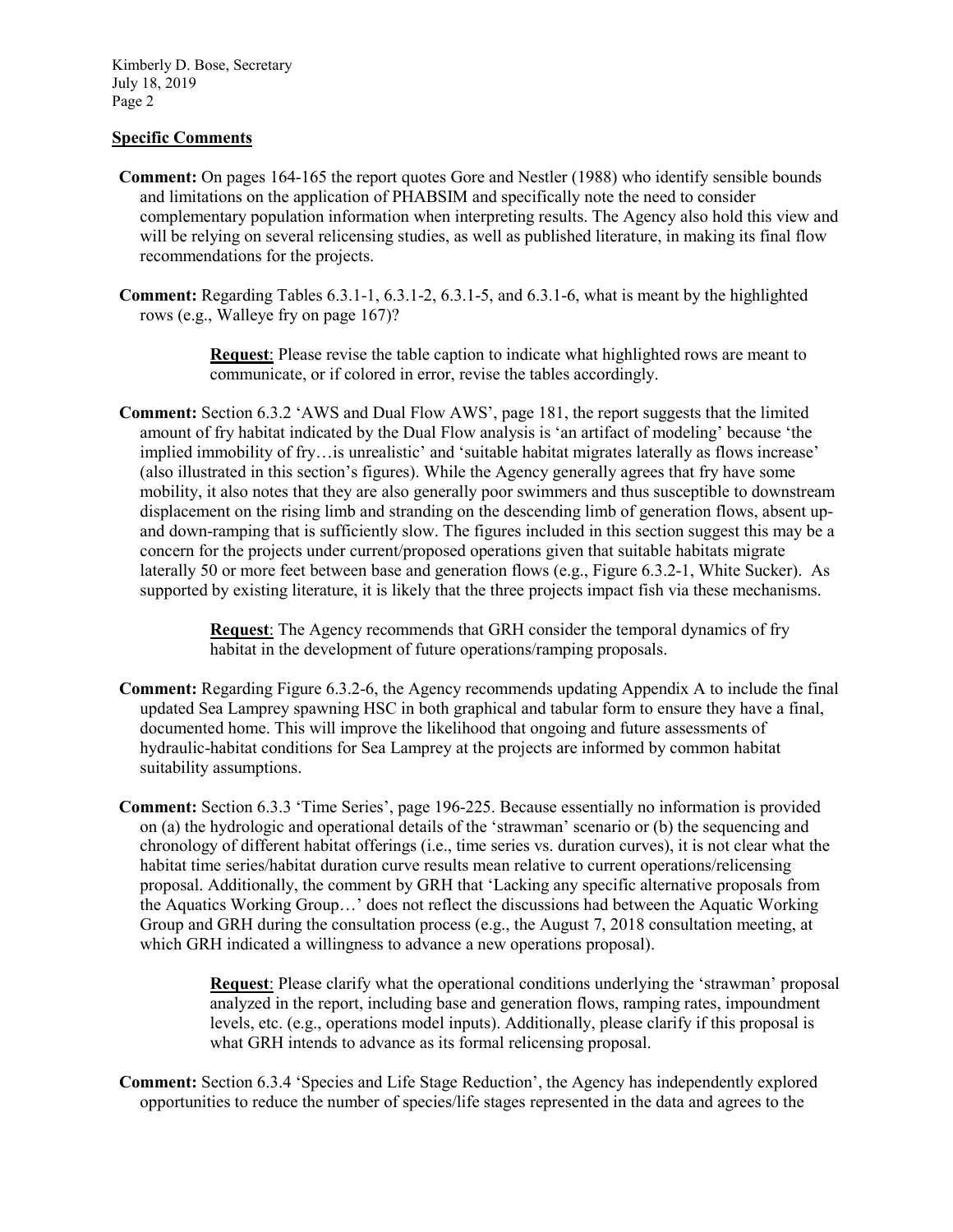Kimberly D. Bose, Secretary July 18, 2019 Page 2

# **Specific Comments**

- **Comment:** On pages 164-165 the report quotes Gore and Nestler (1988) who identify sensible bounds and limitations on the application of PHABSIM and specifically note the need to consider complementary population information when interpreting results. The Agency also hold this view and will be relying on several relicensing studies, as well as published literature, in making its final flow recommendations for the projects.
- **Comment:** Regarding Tables 6.3.1-1, 6.3.1-2, 6.3.1-5, and 6.3.1-6, what is meant by the highlighted rows (e.g., Walleye fry on page 167)?

**Request**: Please revise the table caption to indicate what highlighted rows are meant to communicate, or if colored in error, revise the tables accordingly.

**Comment:** Section 6.3.2 'AWS and Dual Flow AWS', page 181, the report suggests that the limited amount of fry habitat indicated by the Dual Flow analysis is 'an artifact of modeling' because 'the implied immobility of fry…is unrealistic' and 'suitable habitat migrates laterally as flows increase' (also illustrated in this section's figures). While the Agency generally agrees that fry have some mobility, it also notes that they are also generally poor swimmers and thus susceptible to downstream displacement on the rising limb and stranding on the descending limb of generation flows, absent upand down-ramping that is sufficiently slow. The figures included in this section suggest this may be a concern for the projects under current/proposed operations given that suitable habitats migrate laterally 50 or more feet between base and generation flows (e.g., Figure 6.3.2-1, White Sucker). As supported by existing literature, it is likely that the three projects impact fish via these mechanisms.

> **Request**: The Agency recommends that GRH consider the temporal dynamics of fry habitat in the development of future operations/ramping proposals.

- **Comment:** Regarding Figure 6.3.2-6, the Agency recommends updating Appendix A to include the final updated Sea Lamprey spawning HSC in both graphical and tabular form to ensure they have a final, documented home. This will improve the likelihood that ongoing and future assessments of hydraulic-habitat conditions for Sea Lamprey at the projects are informed by common habitat suitability assumptions.
- **Comment:** Section 6.3.3 'Time Series', page 196-225. Because essentially no information is provided on (a) the hydrologic and operational details of the 'strawman' scenario or (b) the sequencing and chronology of different habitat offerings (i.e., time series vs. duration curves), it is not clear what the habitat time series/habitat duration curve results mean relative to current operations/relicensing proposal. Additionally, the comment by GRH that 'Lacking any specific alternative proposals from the Aquatics Working Group…' does not reflect the discussions had between the Aquatic Working Group and GRH during the consultation process (e.g., the August 7, 2018 consultation meeting, at which GRH indicated a willingness to advance a new operations proposal).

**Request**: Please clarify what the operational conditions underlying the 'strawman' proposal analyzed in the report, including base and generation flows, ramping rates, impoundment levels, etc. (e.g., operations model inputs). Additionally, please clarify if this proposal is what GRH intends to advance as its formal relicensing proposal.

**Comment:** Section 6.3.4 'Species and Life Stage Reduction', the Agency has independently explored opportunities to reduce the number of species/life stages represented in the data and agrees to the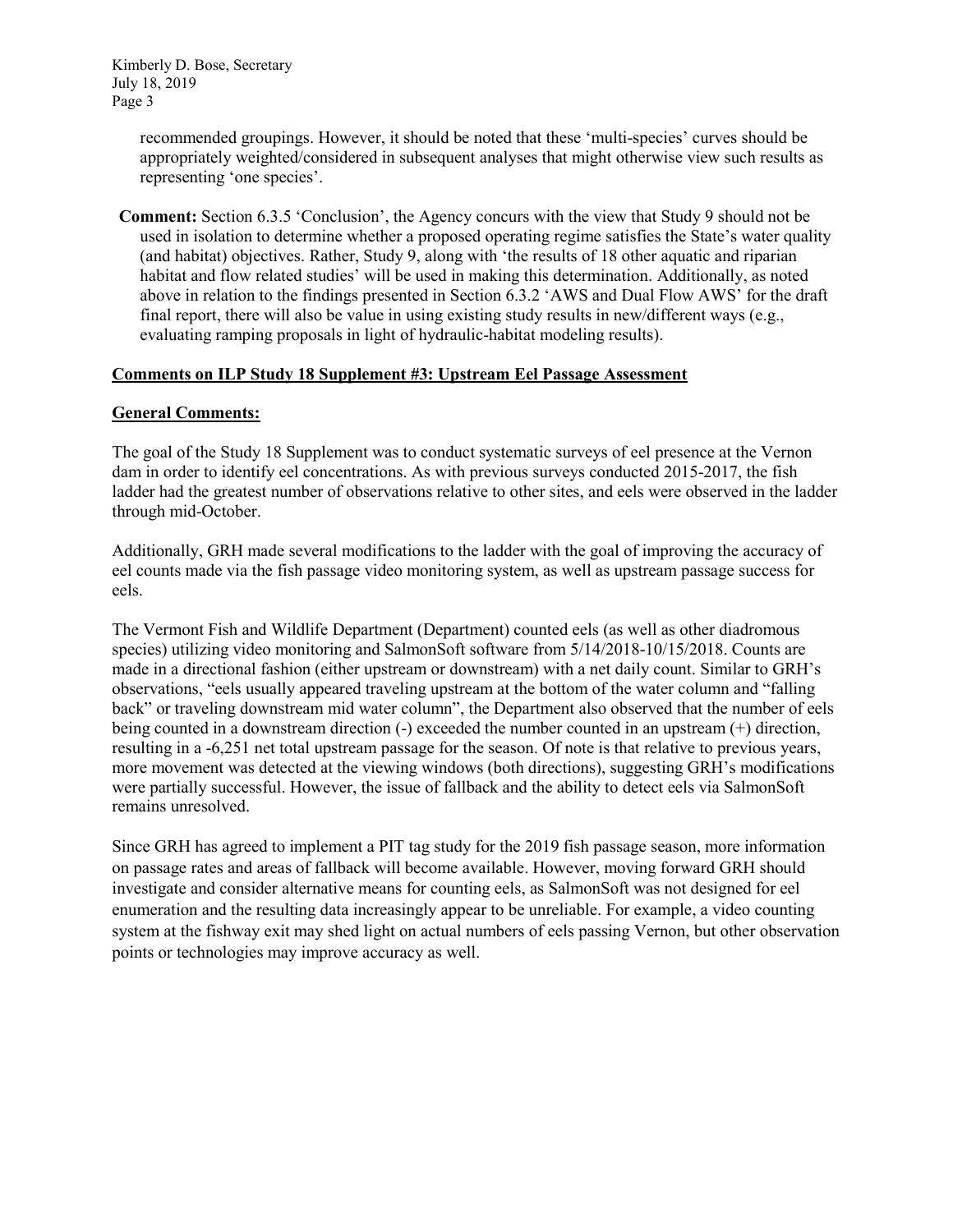Kimberly D. Bose, Secretary July 18, 2019 Page 3

> recommended groupings. However, it should be noted that these 'multi-species' curves should be appropriately weighted/considered in subsequent analyses that might otherwise view such results as representing 'one species'.

**Comment:** Section 6.3.5 'Conclusion', the Agency concurs with the view that Study 9 should not be used in isolation to determine whether a proposed operating regime satisfies the State's water quality (and habitat) objectives. Rather, Study 9, along with 'the results of 18 other aquatic and riparian habitat and flow related studies' will be used in making this determination. Additionally, as noted above in relation to the findings presented in Section 6.3.2 'AWS and Dual Flow AWS' for the draft final report, there will also be value in using existing study results in new/different ways (e.g., evaluating ramping proposals in light of hydraulic-habitat modeling results).

# **Comments on ILP Study 18 Supplement #3: Upstream Eel Passage Assessment**

# **General Comments:**

The goal of the Study 18 Supplement was to conduct systematic surveys of eel presence at the Vernon dam in order to identify eel concentrations. As with previous surveys conducted 2015-2017, the fish ladder had the greatest number of observations relative to other sites, and eels were observed in the ladder through mid-October.

Additionally, GRH made several modifications to the ladder with the goal of improving the accuracy of eel counts made via the fish passage video monitoring system, as well as upstream passage success for eels.

The Vermont Fish and Wildlife Department (Department) counted eels (as well as other diadromous species) utilizing video monitoring and SalmonSoft software from 5/14/2018-10/15/2018. Counts are made in a directional fashion (either upstream or downstream) with a net daily count. Similar to GRH's observations, "eels usually appeared traveling upstream at the bottom of the water column and "falling back" or traveling downstream mid water column", the Department also observed that the number of eels being counted in a downstream direction (-) exceeded the number counted in an upstream (+) direction, resulting in a -6,251 net total upstream passage for the season. Of note is that relative to previous years, more movement was detected at the viewing windows (both directions), suggesting GRH's modifications were partially successful. However, the issue of fallback and the ability to detect eels via SalmonSoft remains unresolved.

Since GRH has agreed to implement a PIT tag study for the 2019 fish passage season, more information on passage rates and areas of fallback will become available. However, moving forward GRH should investigate and consider alternative means for counting eels, as SalmonSoft was not designed for eel enumeration and the resulting data increasingly appear to be unreliable. For example, a video counting system at the fishway exit may shed light on actual numbers of eels passing Vernon, but other observation points or technologies may improve accuracy as well.